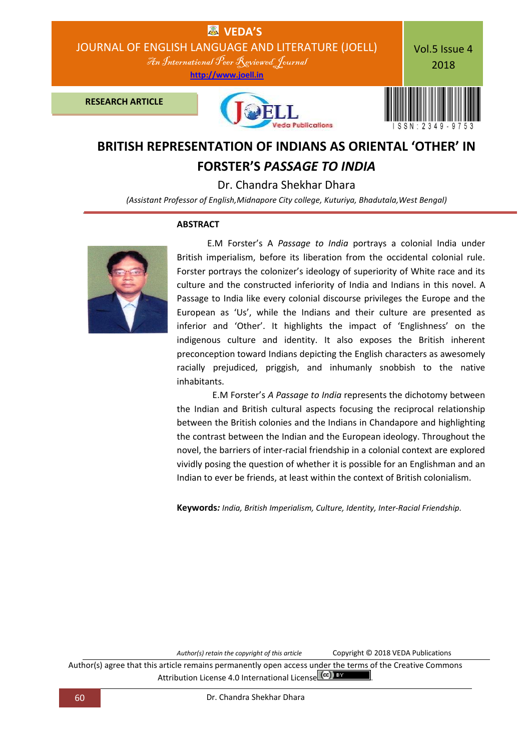

## **BRITISH REPRESENTATION OF INDIANS AS ORIENTAL 'OTHER' IN FORSTER'S** *PASSAGE TO INDIA*

Dr. Chandra Shekhar Dhara

*(Assistant Professor of English,Midnapore City college, Kuturiya, Bhadutala,West Bengal)*

## **ABSTRACT**



 E.M Forster's A *Passage to India* portrays a colonial India under British imperialism, before its liberation from the occidental colonial rule. Forster portrays the colonizer's ideology of superiority of White race and its culture and the constructed inferiority of India and Indians in this novel. A Passage to India like every colonial discourse privileges the Europe and the European as 'Us', while the Indians and their culture are presented as inferior and 'Other'. It highlights the impact of 'Englishness' on the indigenous culture and identity. It also exposes the British inherent preconception toward Indians depicting the English characters as awesomely racially prejudiced, priggish, and inhumanly snobbish to the native inhabitants.

 E.M Forster's *A Passage to India* represents the dichotomy between the Indian and British cultural aspects focusing the reciprocal relationship between the British colonies and the Indians in Chandapore and highlighting the contrast between the Indian and the European ideology. Throughout the novel, the barriers of inter-racial friendship in a colonial context are explored vividly posing the question of whether it is possible for an Englishman and an Indian to ever be friends, at least within the context of British colonialism.

**Keywords***: India, British Imperialism, Culture, Identity, Inter-Racial Friendship.*

*Author(s) retain the copyright of this article* Copyright © 2018 VEDA Publications

Author(s) agree that this article remains permanently open access under the terms of the Creative Commons Attribution License 4.0 International License  $(cc)$  BY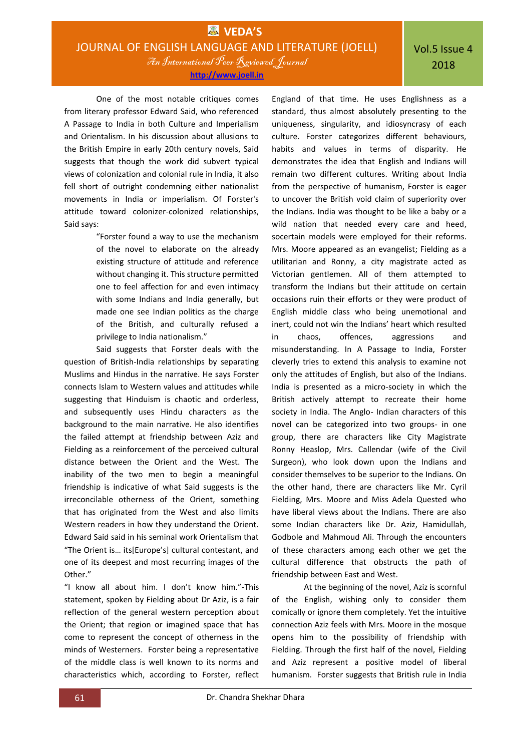Vol.5 Issue 4 2018

**http://www.joell.in**

One of the most notable critiques comes from literary professor Edward Said, who referenced A Passage to India in both Culture and Imperialism and Orientalism. In his discussion about allusions to the British Empire in early 20th century novels, Said suggests that though the work did subvert typical views of colonization and colonial rule in India, it also fell short of outright condemning either nationalist movements in India or imperialism. Of Forster's attitude toward colonizer-colonized relationships, Said says:

> "Forster found a way to use the mechanism of the novel to elaborate on the already existing structure of attitude and reference without changing it. This structure permitted one to feel affection for and even intimacy with some Indians and India generally, but made one see Indian politics as the charge of the British, and culturally refused a privilege to India nationalism."

Said suggests that Forster deals with the question of British-India relationships by separating Muslims and Hindus in the narrative. He says Forster connects Islam to Western values and attitudes while suggesting that Hinduism is chaotic and orderless, and subsequently uses Hindu characters as the background to the main narrative. He also identifies the failed attempt at friendship between Aziz and Fielding as a reinforcement of the perceived cultural distance between the Orient and the West. The inability of the two men to begin a meaningful friendship is indicative of what Said suggests is the irreconcilable otherness of the Orient, something that has originated from the West and also limits Western readers in how they understand the Orient. Edward Said said in his seminal work Orientalism that "The Orient is... its[Europe's] cultural contestant, and one of its deepest and most recurring images of the Other."

"I know all about him. I don't know him."-This statement, spoken by Fielding about Dr Aziz, is a fair reflection of the general western perception about the Orient; that region or imagined space that has come to represent the concept of otherness in the minds of Westerners. Forster being a representative of the middle class is well known to its norms and characteristics which, according to Forster, reflect

England of that time. He uses Englishness as a standard, thus almost absolutely presenting to the uniqueness, singularity, and idiosyncrasy of each culture. Forster categorizes different behaviours, habits and values in terms of disparity. He demonstrates the idea that English and Indians will remain two different cultures. Writing about India from the perspective of humanism, Forster is eager to uncover the British void claim of superiority over the Indians. India was thought to be like a baby or a wild nation that needed every care and heed, socertain models were employed for their reforms. Mrs. Moore appeared as an evangelist; Fielding as a utilitarian and Ronny, a city magistrate acted as Victorian gentlemen. All of them attempted to transform the Indians but their attitude on certain occasions ruin their efforts or they were product of English middle class who being unemotional and inert, could not win the Indians' heart which resulted in chaos, offences, aggressions and misunderstanding. In A Passage to India, Forster cleverly tries to extend this analysis to examine not only the attitudes of English, but also of the Indians. India is presented as a micro-society in which the British actively attempt to recreate their home society in India. The Anglo- Indian characters of this novel can be categorized into two groups- in one group, there are characters like City Magistrate Ronny Heaslop, Mrs. Callendar (wife of the Civil Surgeon), who look down upon the Indians and consider themselves to be superior to the Indians. On the other hand, there are characters like Mr. Cyril Fielding, Mrs. Moore and Miss Adela Quested who have liberal views about the Indians. There are also some Indian characters like Dr. Aziz, Hamidullah, Godbole and Mahmoud Ali. Through the encounters of these characters among each other we get the cultural difference that obstructs the path of friendship between East and West.

At the beginning of the novel, Aziz is scornful of the English, wishing only to consider them comically or ignore them completely. Yet the intuitive connection Aziz feels with Mrs. Moore in the mosque opens him to the possibility of friendship with Fielding. Through the first half of the novel, Fielding and Aziz represent a positive model of liberal humanism. Forster suggests that British rule in India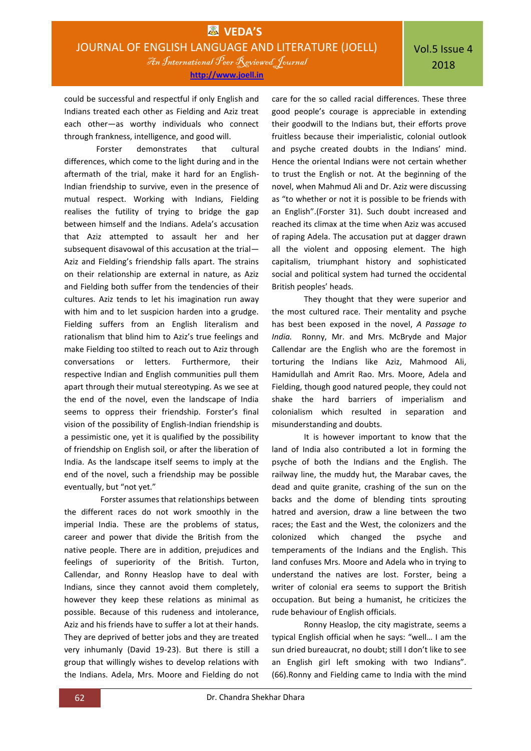could be successful and respectful if only English and Indians treated each other as Fielding and Aziz treat each other—as worthy individuals who connect through frankness, intelligence, and good will.

Forster demonstrates that cultural differences, which come to the light during and in the aftermath of the trial, make it hard for an English-Indian friendship to survive, even in the presence of mutual respect. Working with Indians, Fielding realises the futility of trying to bridge the gap between himself and the Indians. Adela's accusation that Aziz attempted to assault her and her subsequent disavowal of this accusation at the trial— Aziz and Fielding's friendship falls apart. The strains on their relationship are external in nature, as Aziz and Fielding both suffer from the tendencies of their cultures. Aziz tends to let his imagination run away with him and to let suspicion harden into a grudge. Fielding suffers from an English literalism and rationalism that blind him to Aziz's true feelings and make Fielding too stilted to reach out to Aziz through conversations or letters. Furthermore, their respective Indian and English communities pull them apart through their mutual stereotyping. As we see at the end of the novel, even the landscape of India seems to oppress their friendship. Forster's final vision of the possibility of English-Indian friendship is a pessimistic one, yet it is qualified by the possibility of friendship on English soil, or after the liberation of India. As the landscape itself seems to imply at the end of the novel, such a friendship may be possible eventually, but "not yet."

 Forster assumes that relationships between the different races do not work smoothly in the imperial India. These are the problems of status, career and power that divide the British from the native people. There are in addition, prejudices and feelings of superiority of the British. Turton, Callendar, and Ronny Heaslop have to deal with Indians, since they cannot avoid them completely, however they keep these relations as minimal as possible. Because of this rudeness and intolerance, Aziz and his friends have to suffer a lot at their hands. They are deprived of better jobs and they are treated very inhumanly (David 19-23). But there is still a group that willingly wishes to develop relations with the Indians. Adela, Mrs. Moore and Fielding do not

care for the so called racial differences. These three good people's courage is appreciable in extending their goodwill to the Indians but, their efforts prove fruitless because their imperialistic, colonial outlook and psyche created doubts in the Indians' mind. Hence the oriental Indians were not certain whether to trust the English or not. At the beginning of the novel, when Mahmud Ali and Dr. Aziz were discussing as "to whether or not it is possible to be friends with an English".(Forster 31). Such doubt increased and reached its climax at the time when Aziz was accused of raping Adela. The accusation put at dagger drawn all the violent and opposing element. The high capitalism, triumphant history and sophisticated social and political system had turned the occidental British peoples' heads.

They thought that they were superior and the most cultured race. Their mentality and psyche has best been exposed in the novel, *A Passage to India.* Ronny, Mr. and Mrs. McBryde and Major Callendar are the English who are the foremost in torturing the Indians like Aziz, Mahmood Ali, Hamidullah and Amrit Rao. Mrs. Moore, Adela and Fielding, though good natured people, they could not shake the hard barriers of imperialism and colonialism which resulted in separation and misunderstanding and doubts.

It is however important to know that the land of India also contributed a lot in forming the psyche of both the Indians and the English. The railway line, the muddy hut, the Marabar caves, the dead and quite granite, crashing of the sun on the backs and the dome of blending tints sprouting hatred and aversion, draw a line between the two races; the East and the West, the colonizers and the colonized which changed the psyche and temperaments of the Indians and the English. This land confuses Mrs. Moore and Adela who in trying to understand the natives are lost. Forster, being a writer of colonial era seems to support the British occupation. But being a humanist, he criticizes the rude behaviour of English officials.

Ronny Heaslop, the city magistrate, seems a typical English official when he says: "well… I am the sun dried bureaucrat, no doubt; still I don't like to see an English girl left smoking with two Indians". (66).Ronny and Fielding came to India with the mind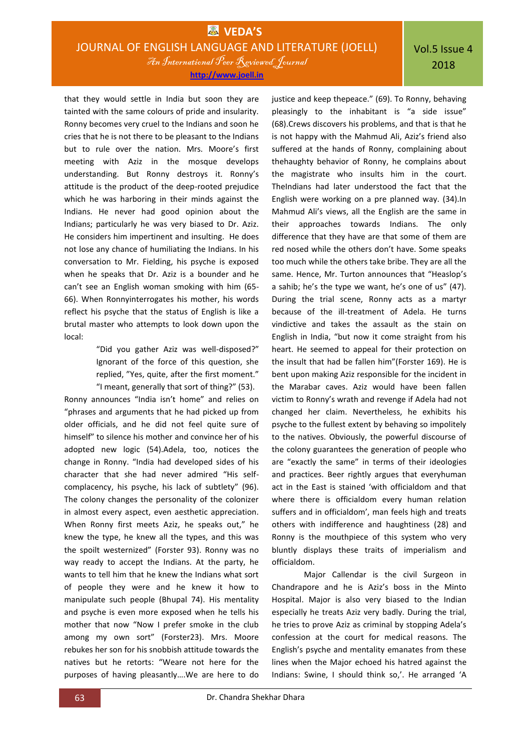that they would settle in India but soon they are tainted with the same colours of pride and insularity. Ronny becomes very cruel to the Indians and soon he cries that he is not there to be pleasant to the Indians but to rule over the nation. Mrs. Moore's first meeting with Aziz in the mosque develops understanding. But Ronny destroys it. Ronny's attitude is the product of the deep-rooted prejudice which he was harboring in their minds against the Indians. He never had good opinion about the Indians; particularly he was very biased to Dr. Aziz. He considers him impertinent and insulting. He does not lose any chance of humiliating the Indians. In his conversation to Mr. Fielding, his psyche is exposed when he speaks that Dr. Aziz is a bounder and he can't see an English woman smoking with him (65- 66). When Ronnyinterrogates his mother, his words reflect his psyche that the status of English is like a brutal master who attempts to look down upon the local:

> "Did you gather Aziz was well-disposed?" Ignorant of the force of this question, she replied, "Yes, quite, after the first moment." "I meant, generally that sort of thing?" (53).

Ronny announces "India isn't home" and relies on "phrases and arguments that he had picked up from older officials, and he did not feel quite sure of himself" to silence his mother and convince her of his adopted new logic (54).Adela, too, notices the change in Ronny. "India had developed sides of his character that she had never admired "His selfcomplacency, his psyche, his lack of subtlety" (96). The colony changes the personality of the colonizer in almost every aspect, even aesthetic appreciation. When Ronny first meets Aziz, he speaks out," he knew the type, he knew all the types, and this was the spoilt westernized" (Forster 93). Ronny was no way ready to accept the Indians. At the party, he wants to tell him that he knew the Indians what sort of people they were and he knew it how to manipulate such people (Bhupal 74). His mentality and psyche is even more exposed when he tells his mother that now "Now I prefer smoke in the club among my own sort" (Forster23). Mrs. Moore rebukes her son for his snobbish attitude towards the natives but he retorts: "Weare not here for the purposes of having pleasantly….We are here to do

justice and keep thepeace." (69). To Ronny, behaving pleasingly to the inhabitant is "a side issue" (68).Crews discovers his problems, and that is that he is not happy with the Mahmud Ali, Aziz's friend also suffered at the hands of Ronny, complaining about thehaughty behavior of Ronny, he complains about the magistrate who insults him in the court. TheIndians had later understood the fact that the English were working on a pre planned way. (34).In Mahmud Ali's views, all the English are the same in their approaches towards Indians. The only difference that they have are that some of them are red nosed while the others don't have. Some speaks too much while the others take bribe. They are all the same. Hence, Mr. Turton announces that "Heaslop's a sahib; he's the type we want, he's one of us" (47). During the trial scene, Ronny acts as a martyr because of the ill-treatment of Adela. He turns vindictive and takes the assault as the stain on English in India, "but now it come straight from his heart. He seemed to appeal for their protection on the insult that had be fallen him"(Forster 169). He is bent upon making Aziz responsible for the incident in the Marabar caves. Aziz would have been fallen victim to Ronny's wrath and revenge if Adela had not changed her claim. Nevertheless, he exhibits his psyche to the fullest extent by behaving so impolitely to the natives. Obviously, the powerful discourse of the colony guarantees the generation of people who are "exactly the same" in terms of their ideologies and practices. Beer rightly argues that everyhuman act in the East is stained 'with officialdom and that where there is officialdom every human relation suffers and in officialdom', man feels high and treats others with indifference and haughtiness (28) and Ronny is the mouthpiece of this system who very bluntly displays these traits of imperialism and officialdom.

Major Callendar is the civil Surgeon in Chandrapore and he is Aziz's boss in the Minto Hospital. Major is also very biased to the Indian especially he treats Aziz very badly. During the trial, he tries to prove Aziz as criminal by stopping Adela's confession at the court for medical reasons. The English's psyche and mentality emanates from these lines when the Major echoed his hatred against the Indians: Swine, I should think so,'. He arranged 'A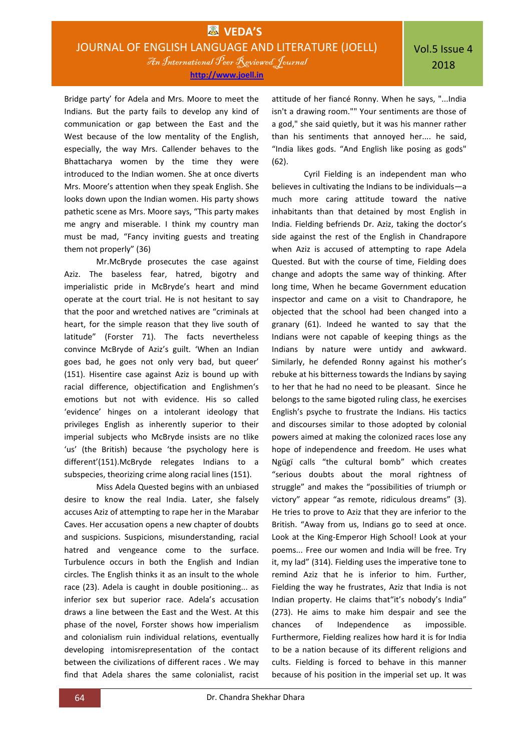**http://www.joell.in**

Bridge party' for Adela and Mrs. Moore to meet the Indians. But the party fails to develop any kind of communication or gap between the East and the West because of the low mentality of the English, especially, the way Mrs. Callender behaves to the Bhattacharya women by the time they were introduced to the Indian women. She at once diverts Mrs. Moore's attention when they speak English. She looks down upon the Indian women. His party shows pathetic scene as Mrs. Moore says, "This party makes me angry and miserable. I think my country man must be mad, "Fancy inviting guests and treating them not properly" (36)

Mr.McBryde prosecutes the case against Aziz. The baseless fear, hatred, bigotry and imperialistic pride in McBryde's heart and mind operate at the court trial. He is not hesitant to say that the poor and wretched natives are "criminals at heart, for the simple reason that they live south of latitude" (Forster 71). The facts nevertheless convince McBryde of Aziz's guilt. 'When an Indian goes bad, he goes not only very bad, but queer' (151). Hisentire case against Aziz is bound up with racial difference, objectification and Englishmen's emotions but not with evidence. His so called 'evidence' hinges on a intolerant ideology that privileges English as inherently superior to their imperial subjects who McBryde insists are no tlike 'us' (the British) because 'the psychology here is different'(151).McBryde relegates Indians to a subspecies, theorizing crime along racial lines (151).

Miss Adela Quested begins with an unbiased desire to know the real India. Later, she falsely accuses Aziz of attempting to rape her in the Marabar Caves. Her accusation opens a new chapter of doubts and suspicions. Suspicions, misunderstanding, racial hatred and vengeance come to the surface. Turbulence occurs in both the English and Indian circles. The English thinks it as an insult to the whole race (23). Adela is caught in double positioning... as inferior sex but superior race. Adela's accusation draws a line between the East and the West. At this phase of the novel, Forster shows how imperialism and colonialism ruin individual relations, eventually developing intomisrepresentation of the contact between the civilizations of different races . We may find that Adela shares the same colonialist, racist

attitude of her fiancé Ronny. When he says, "...India isn't a drawing room."" Your sentiments are those of a god," she said quietly, but it was his manner rather than his sentiments that annoyed her.... he said, "India likes gods. "And English like posing as gods" (62).

Cyril Fielding is an independent man who believes in cultivating the Indians to be individuals—a much more caring attitude toward the native inhabitants than that detained by most English in India. Fielding befriends Dr. Aziz, taking the doctor's side against the rest of the English in Chandrapore when Aziz is accused of attempting to rape Adela Quested. But with the course of time, Fielding does change and adopts the same way of thinking. After long time, When he became Government education inspector and came on a visit to Chandrapore, he objected that the school had been changed into a granary (61). Indeed he wanted to say that the Indians were not capable of keeping things as the Indians by nature were untidy and awkward. Similarly, he defended Ronny against his mother's rebuke at his bitterness towards the Indians by saying to her that he had no need to be pleasant. Since he belongs to the same bigoted ruling class, he exercises English's psyche to frustrate the Indians. His tactics and discourses similar to those adopted by colonial powers aimed at making the colonized races lose any hope of independence and freedom. He uses what Ngügï calls "the cultural bomb" which creates "serious doubts about the moral rightness of struggle" and makes the "possibilities of triumph or victory" appear "as remote, ridiculous dreams" (3). He tries to prove to Aziz that they are inferior to the British. "Away from us, Indians go to seed at once. Look at the King-Emperor High School! Look at your poems... Free our women and India will be free. Try it, my lad" (314). Fielding uses the imperative tone to remind Aziz that he is inferior to him. Further, Fielding the way he frustrates, Aziz that India is not Indian property. He claims that"it's nobody's India" (273). He aims to make him despair and see the chances of Independence as impossible. Furthermore, Fielding realizes how hard it is for India to be a nation because of its different religions and cults. Fielding is forced to behave in this manner because of his position in the imperial set up. It was